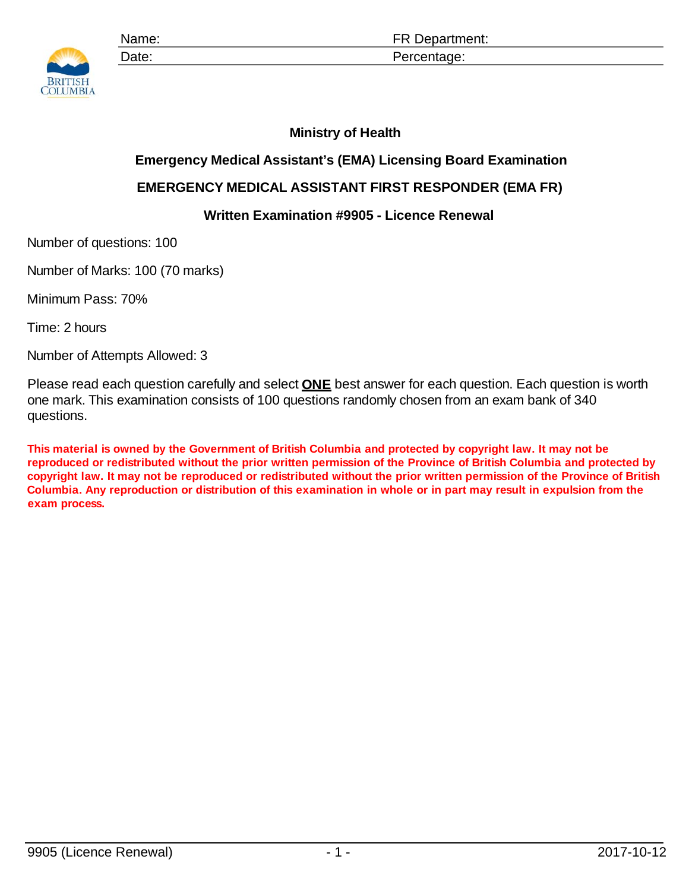

## **Ministry of Health**

## **Emergency Medical Assistant's (EMA) Licensing Board Examination**

## **EMERGENCY MEDICAL ASSISTANT FIRST RESPONDER (EMA FR)**

## **Written Examination #9905 - Licence Renewal**

Number of questions: 100

Number of Marks: 100 (70 marks)

Minimum Pass: 70%

Time: 2 hours

Number of Attempts Allowed: 3

Please read each question carefully and select **ONE** best answer for each question. Each question is worth one mark. This examination consists of 100 questions randomly chosen from an exam bank of 340 questions.

**This material is owned by the Government of British Columbia and protected by copyright law. It may not be reproduced or redistributed without the prior written permission of the Province of British Columbia and protected by copyright law. It may not be reproduced or redistributed without the prior written permission of the Province of British Columbia. Any reproduction or distribution of this examination in whole or in part may result in expulsion from the exam process.**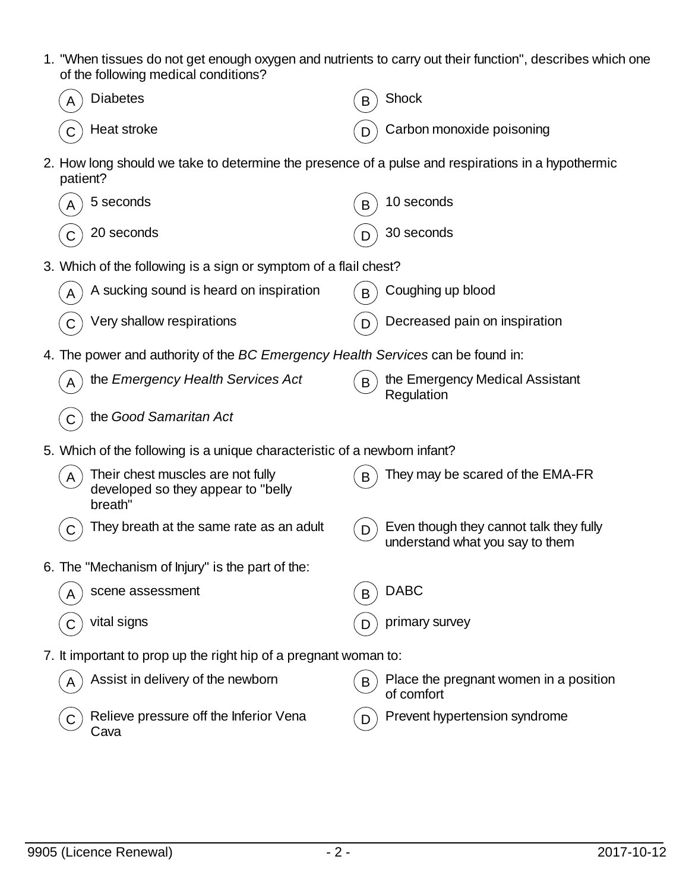- 1. "When tissues do not get enough oxygen and nutrients to carry out their function", describes which one of the following medical conditions?
	- $\overline{A}$  Diabetes  $\overline{B}$  Shock  $\widehat{C}$  Heat stroke  $\widehat{D}$  Carbon monoxide poisoning
- 2. How long should we take to determine the presence of a pulse and respirations in a hypothermic patient?

| А | 5 seconds                                                                          | B | 10 seconds                                                                 |
|---|------------------------------------------------------------------------------------|---|----------------------------------------------------------------------------|
|   | 20 seconds                                                                         |   | 30 seconds                                                                 |
|   | 3. Which of the following is a sign or symptom of a flail chest?                   |   |                                                                            |
|   | A sucking sound is heard on inspiration                                            | B | Coughing up blood                                                          |
|   | Very shallow respirations                                                          |   | Decreased pain on inspiration                                              |
|   | 4. The power and authority of the BC Emergency Health Services can be found in:    |   |                                                                            |
|   | the Emergency Health Services Act                                                  | B | the Emergency Medical Assistant<br>Regulation                              |
|   | the Good Samaritan Act                                                             |   |                                                                            |
|   | 5. Which of the following is a unique characteristic of a newborn infant?          |   |                                                                            |
|   | Their chest muscles are not fully<br>developed so they appear to "belly<br>breath" | B | They may be scared of the EMA-FR                                           |
|   | They breath at the same rate as an adult                                           | D | Even though they cannot talk they fully<br>understand what you say to them |
|   | 6. The "Mechanism of Injury" is the part of the:                                   |   |                                                                            |
|   | scene assessment                                                                   | B | <b>DABC</b>                                                                |
|   | vital signs                                                                        | D | primary survey                                                             |
|   | 7. It important to prop up the right hip of a pregnant woman to:                   |   |                                                                            |
|   | Assist in delivery of the newborn                                                  | B | Place the pregnant women in a position<br>of comfort                       |
|   | Relieve pressure off the Inferior Vena<br>Cava                                     | D | Prevent hypertension syndrome                                              |
|   |                                                                                    |   |                                                                            |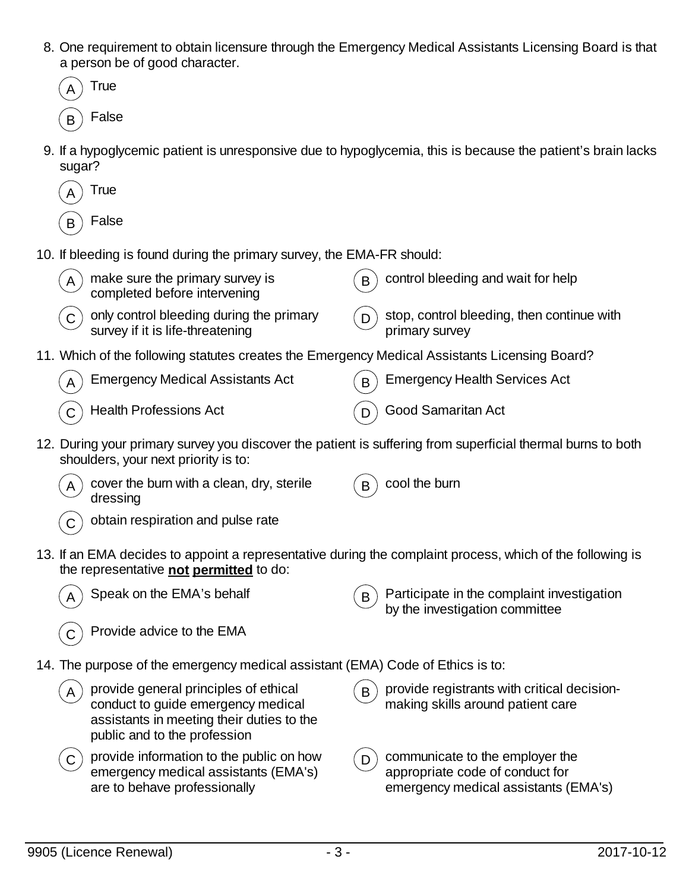- 8. One requirement to obtain licensure through the Emergency Medical Assistants Licensing Board is that a person be of good character.
	- **True**  $B$  False
- 9. If a hypoglycemic patient is unresponsive due to hypoglycemia, this is because the patient's brain lacks sugar?
	- **True False**
- 10. If bleeding is found during the primary survey, the EMA-FR should:

| make sure the primary survey is<br>completed before intervening                               | control bleeding and wait for help         |
|-----------------------------------------------------------------------------------------------|--------------------------------------------|
| $\overline{A}$                                                                                | B                                          |
| only control bleeding during the primary<br>survey if it is life-threatening                  | stop, control bleeding, then continue with |
| $\mathbf C$                                                                                   | primary survey                             |
| 11. Which of the following statutes creates the Emergency Medical Assistants Licensing Board? |                                            |
| <b>Emergency Medical Assistants Act</b>                                                       | <b>Emergency Health Services Act</b>       |
| $\overline{A}$                                                                                | B                                          |
| <b>Health Professions Act</b>                                                                 | Good Samaritan Act                         |

- 12. During your primary survey you discover the patient is suffering from superficial thermal burns to both shoulders, your next priority is to:
	- $(A)$  cover the burn with a clean, dry, sterile dressing

cool the burn

- obtain respiration and pulse rate
- 13. If an EMA decides to appoint a representative during the complaint process, which of the following is the representative **not permitted** to do:



Speak on the EMA's behalf  $(B)$  Participate in the complaint investigation by the investigation committee

- 14. The purpose of the emergency medical assistant (EMA) Code of Ethics is to:
	- provide general principles of ethical conduct to guide emergency medical assistants in meeting their duties to the public and to the profession
	- $\mathcal{L}_{\mathbf{C}}$  provide information to the public on how emergency medical assistants (EMA's) are to behave professionally
- $\mathbf{B}$ ) provide registrants with critical decisionmaking skills around patient care
- $\mathcal{L}_{\mathbf{D}}$  communicate to the employer the appropriate code of conduct for emergency medical assistants (EMA's)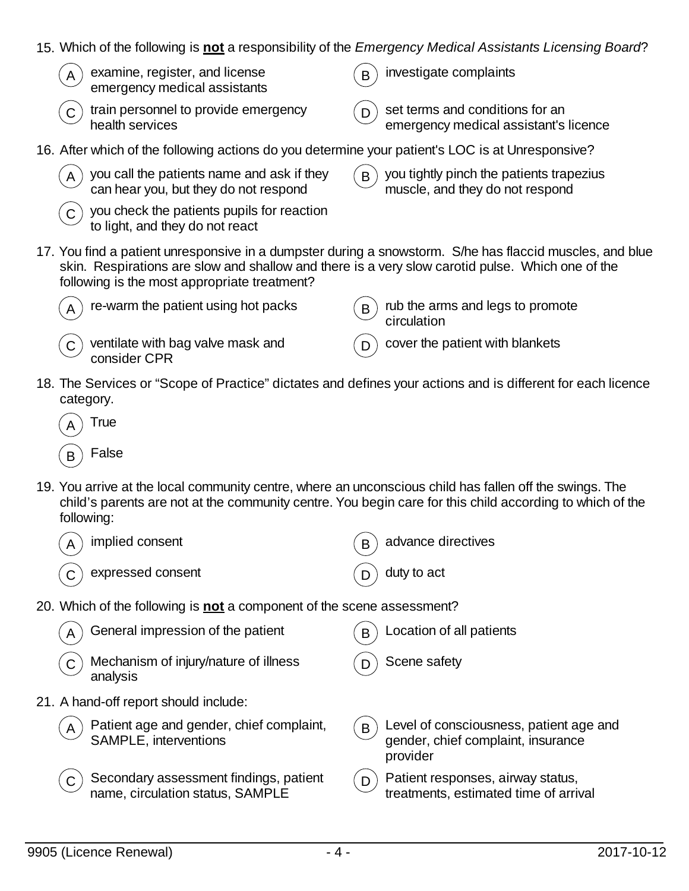- 15. Which of the following is **not** a responsibility of the *Emergency Medical Assistants Licensing Board*?
	- examine, register, and license emergency medical assistants
	- train personnel to provide emergency health services

 $B$  investigate complaints

 $(D)$  set terms and conditions for an emergency medical assistant's licence

- 16. After which of the following actions do you determine your patient's LOC is at Unresponsive?
	- $(A)$  you call the patients name and ask if they can hear you, but they do not respond
	- $\tilde{C}$  you check the patients pupils for reaction to light, and they do not react
- $\mathbf{B}$  you tightly pinch the patients trapezius muscle, and they do not respond
- 17. You find a patient unresponsive in a dumpster during a snowstorm. S/he has flaccid muscles, and blue skin. Respirations are slow and shallow and there is a very slow carotid pulse. Which one of the following is the most appropriate treatment?



- $(C)$  ventilate with bag valve mask and consider CPR
- re-warm the patient using hot packs  $\mathsf{B}$  rub the arms and legs to promote circulation
	- cover the patient with blankets
- 18. The Services or "Scope of Practice" dictates and defines your actions and is different for each licence category.
	- **True False**
- 19. You arrive at the local community centre, where an unconscious child has fallen off the swings. The child's parents are not at the community centre. You begin care for this child according to which of the following:
	- implied consent  $(R)$  advance directives expressed consent  $(D)$  duty to act
- 20. Which of the following is **not** a component of the scene assessment?

| General impression of the patient<br>A                                            | B | Location of all patients                                                                  |
|-----------------------------------------------------------------------------------|---|-------------------------------------------------------------------------------------------|
| Mechanism of injury/nature of illness<br>analysis                                 |   | Scene safety                                                                              |
| 21. A hand-off report should include:                                             |   |                                                                                           |
| Patient age and gender, chief complaint,<br>SAMPLE, interventions<br>$\mathsf{A}$ | B | Level of consciousness, patient age and<br>gender, chief complaint, insurance<br>provider |
| Secondary assessment findings, patient<br>name, circulation status, SAMPLE        | D | Patient responses, airway status,<br>treatments, estimated time of arrival                |
|                                                                                   |   |                                                                                           |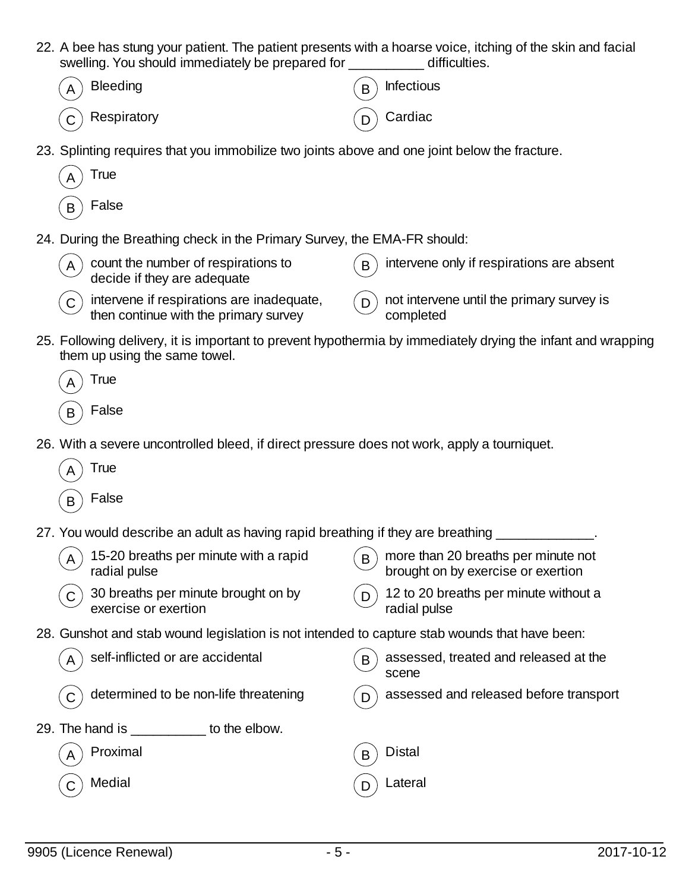| 22. A bee has stung your patient. The patient presents with a hoarse voice, itching of the skin and facial<br>swelling. You should immediately be prepared for ____ | difficulties.                                                                                                |
|---------------------------------------------------------------------------------------------------------------------------------------------------------------------|--------------------------------------------------------------------------------------------------------------|
| <b>Bleeding</b>                                                                                                                                                     | <b>Infectious</b><br>B                                                                                       |
| Respiratory                                                                                                                                                         | Cardiac                                                                                                      |
| 23. Splinting requires that you immobilize two joints above and one joint below the fracture.                                                                       |                                                                                                              |
| True                                                                                                                                                                |                                                                                                              |
| False<br>B                                                                                                                                                          |                                                                                                              |
| 24. During the Breathing check in the Primary Survey, the EMA-FR should:                                                                                            |                                                                                                              |
| count the number of respirations to<br>decide if they are adequate                                                                                                  | intervene only if respirations are absent                                                                    |
| intervene if respirations are inadequate,<br>then continue with the primary survey                                                                                  | not intervene until the primary survey is<br>D<br>completed                                                  |
| them up using the same towel.                                                                                                                                       | 25. Following delivery, it is important to prevent hypothermia by immediately drying the infant and wrapping |
| True                                                                                                                                                                |                                                                                                              |
| False                                                                                                                                                               |                                                                                                              |
| 26. With a severe uncontrolled bleed, if direct pressure does not work, apply a tourniquet.                                                                         |                                                                                                              |
| True                                                                                                                                                                |                                                                                                              |
| False<br>B                                                                                                                                                          |                                                                                                              |
| 27. You would describe an adult as having rapid breathing if they are breathing                                                                                     |                                                                                                              |
| 15-20 breaths per minute with a rapid<br>A<br>radial pulse                                                                                                          | more than 20 breaths per minute not<br>B<br>brought on by exercise or exertion                               |
| 30 breaths per minute brought on by<br>exercise or exertion                                                                                                         | 12 to 20 breaths per minute without a<br>D.<br>radial pulse                                                  |
| 28. Gunshot and stab wound legislation is not intended to capture stab wounds that have been:                                                                       |                                                                                                              |
| self-inflicted or are accidental                                                                                                                                    | assessed, treated and released at the<br>B<br>scene                                                          |
| determined to be non-life threatening                                                                                                                               | assessed and released before transport                                                                       |
| 29. The hand is __________ to the elbow.                                                                                                                            |                                                                                                              |
| Proximal                                                                                                                                                            | <b>Distal</b><br>B                                                                                           |
| Medial                                                                                                                                                              | Lateral<br>D                                                                                                 |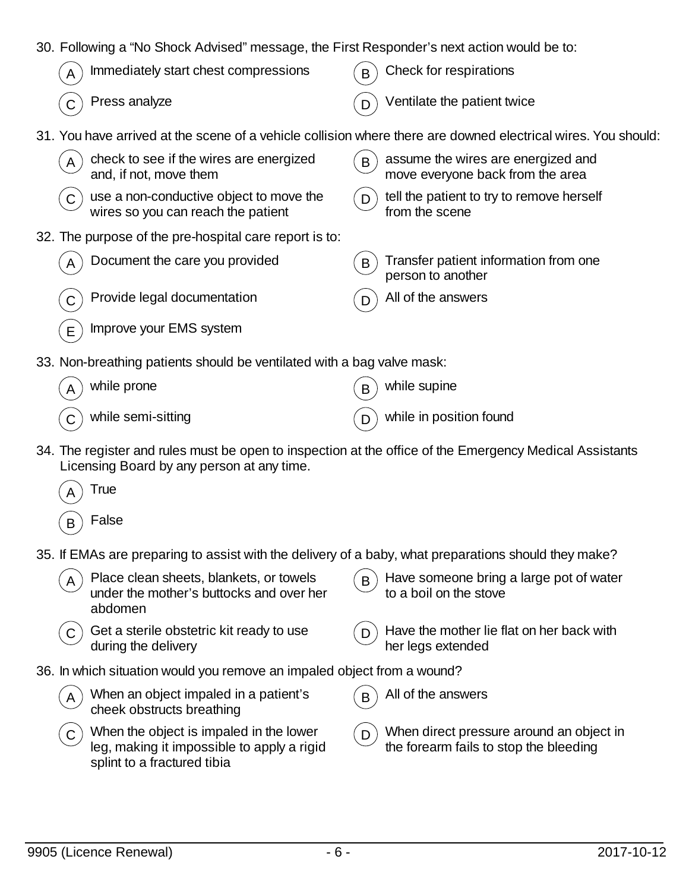|  | 30. Following a "No Shock Advised" message, the First Responder's next action would be to: |  |  |
|--|--------------------------------------------------------------------------------------------|--|--|
|  |                                                                                            |  |  |

| $\mathcal{A}$ Immediately start chest compressions | $\binom{1}{B}$ Check for respirations |
|----------------------------------------------------|---------------------------------------|
| $\widehat{C}$ Press analyze                        | $(n)$ Ventilate the patient twice     |

31. You have arrived at the scene of a vehicle collision where there are downed electrical wires. You should:

| check to see if the wires are energized<br>and, if not, move them             | assume the wires are energized and<br>move everyone back from the area |
|-------------------------------------------------------------------------------|------------------------------------------------------------------------|
| $\overline{A}$                                                                | B                                                                      |
| use a non-conductive object to move the<br>wires so you can reach the patient | tell the patient to try to remove herself                              |
| $\mathsf C$                                                                   | from the scene                                                         |
| 32. The purpose of the pre-hospital care report is to:                        |                                                                        |
| Document the care you provided<br>$\overline{A}$                              | Transfer patient information from one<br>B<br>person to another        |

- Provide legal documentation  $(D)$  All of the answers
- Improve your EMS system
- 33. Non-breathing patients should be ventilated with a bag valve mask:

| $\widehat{A}$ while prone                 | $\mathcal{L}_{\mathbf{B}}$ while supine |
|-------------------------------------------|-----------------------------------------|
| $\widehat{\mathsf{C}}$ while semi-sitting | $\binom{n}{b}$ while in position found  |

- 34. The register and rules must be open to inspection at the office of the Emergency Medical Assistants Licensing Board by any person at any time.
	- **True**
	- $B$  False
- 35. If EMAs are preparing to assist with the delivery of a baby, what preparations should they make?
- $(A)$  Place clean sheets, blankets, or towels under the mother's buttocks and over her abdomen  $\mathbf{B}$  Have someone bring a large pot of water to a boil on the stove  $(C)$  Get a sterile obstetric kit ready to use during the delivery  $(D)$  Have the mother lie flat on her back with her legs extended 36. In which situation would you remove an impaled object from a wound?  $_A$ ) When an object impaled in a patient's cheek obstructs breathing  $\mathbf{B}$  All of the answers  $(C)$  When the object is impaled in the lower  $\mathcal{L}_{\mathsf{D}}$  When direct pressure around an object in
	- leg, making it impossible to apply a rigid splint to a fractured tibia
- the forearm fails to stop the bleeding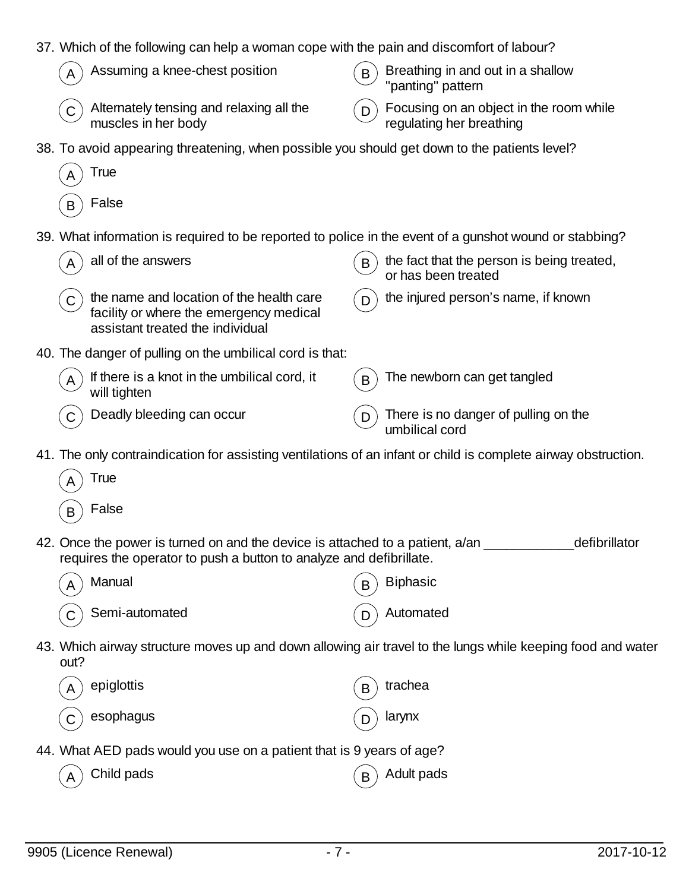|              | 37. Which of the following can help a woman cope with the pain and discomfort of labour?                                                               |   |                                                                                                            |
|--------------|--------------------------------------------------------------------------------------------------------------------------------------------------------|---|------------------------------------------------------------------------------------------------------------|
|              | Assuming a knee-chest position                                                                                                                         | B | Breathing in and out in a shallow<br>"panting" pattern                                                     |
| $\mathsf{C}$ | Alternately tensing and relaxing all the<br>muscles in her body                                                                                        | D | Focusing on an object in the room while<br>regulating her breathing                                        |
|              | 38. To avoid appearing threatening, when possible you should get down to the patients level?                                                           |   |                                                                                                            |
|              | <b>True</b>                                                                                                                                            |   |                                                                                                            |
| B            | False                                                                                                                                                  |   |                                                                                                            |
|              | 39. What information is required to be reported to police in the event of a gunshot wound or stabbing?                                                 |   |                                                                                                            |
|              | all of the answers                                                                                                                                     | B | the fact that the person is being treated,<br>or has been treated                                          |
| $\mathsf{C}$ | the name and location of the health care<br>facility or where the emergency medical<br>assistant treated the individual                                | D | the injured person's name, if known                                                                        |
|              | 40. The danger of pulling on the umbilical cord is that:                                                                                               |   |                                                                                                            |
| A            | If there is a knot in the umbilical cord, it<br>will tighten                                                                                           | B | The newborn can get tangled                                                                                |
|              | Deadly bleeding can occur                                                                                                                              | D | There is no danger of pulling on the<br>umbilical cord                                                     |
|              | 41. The only contraindication for assisting ventilations of an infant or child is complete airway obstruction.                                         |   |                                                                                                            |
|              | True                                                                                                                                                   |   |                                                                                                            |
| B            | False                                                                                                                                                  |   |                                                                                                            |
|              | 42. Once the power is turned on and the device is attached to a patient, a/an _<br>requires the operator to push a button to analyze and defibrillate. |   | defibrillator                                                                                              |
|              | Manual                                                                                                                                                 |   | <b>Biphasic</b>                                                                                            |
|              | Semi-automated                                                                                                                                         |   | Automated                                                                                                  |
| out?         |                                                                                                                                                        |   | 43. Which airway structure moves up and down allowing air travel to the lungs while keeping food and water |
|              | epiglottis                                                                                                                                             | B | trachea                                                                                                    |
|              | esophagus                                                                                                                                              |   | larynx                                                                                                     |
|              | 44. What AED pads would you use on a patient that is 9 years of age?                                                                                   |   |                                                                                                            |
|              | Child pads                                                                                                                                             | B | Adult pads                                                                                                 |
|              |                                                                                                                                                        |   |                                                                                                            |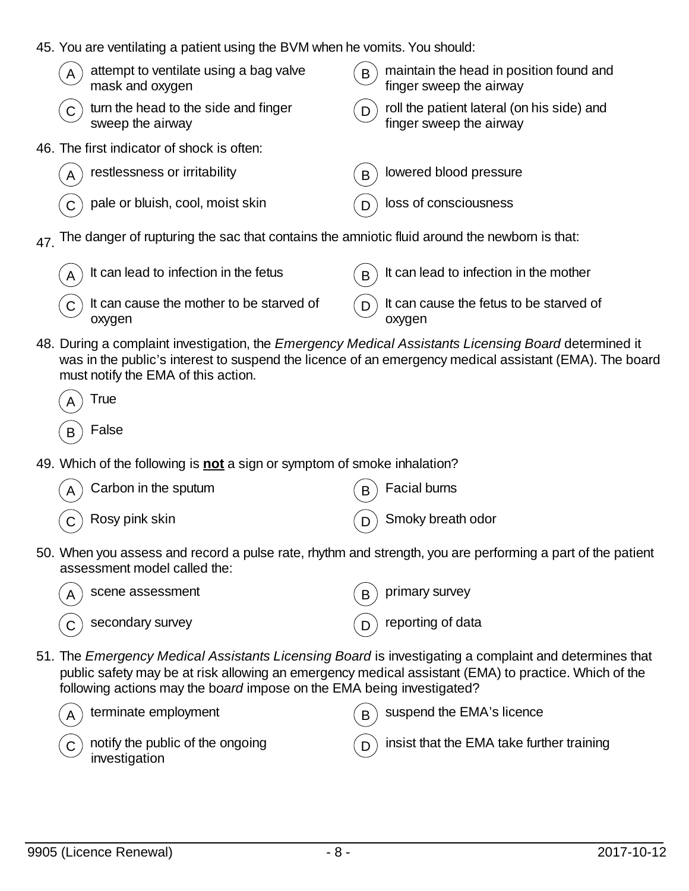45. You are ventilating a patient using the BVM when he vomits. You should:

| attempt to ventilate using a bag valve<br>A<br>mask and oxygen | maintain the head in position found and<br>B<br>finger sweep the airway    |
|----------------------------------------------------------------|----------------------------------------------------------------------------|
| turn the head to the side and finger<br>sweep the airway       | roll the patient lateral (on his side) and<br>finger sweep the airway<br>D |
| 46. The first indicator of shock is often:                     |                                                                            |
| restlessness or irritability<br>A                              | lowered blood pressure<br>B                                                |
| pale or bluish, cool, moist skin                               | loss of consciousness                                                      |

 $47.$  The danger of rupturing the sac that contains the amniotic fluid around the newborn is that:

| $\binom{1}{A}$ It can lead to infection in the fetus                                         | $(B)$ It can lead to infection in the mother           |
|----------------------------------------------------------------------------------------------|--------------------------------------------------------|
| $\left( \begin{matrix} 0 \\ 0 \end{matrix} \right)$ It can cause the mother to be starved of | $\binom{1}{D}$ It can cause the fetus to be starved of |
| oxygen                                                                                       | oxygen                                                 |

48. During a complaint investigation, the *Emergency Medical Assistants Licensing Board* determined it was in the public's interest to suspend the licence of an emergency medical assistant (EMA). The board must notify the EMA of this action.

| А | True  |
|---|-------|
| R | False |

49. Which of the following is **not** a sign or symptom of smoke inhalation?

| $\left(\begin{matrix} A \end{matrix}\right)$ Carbon in the sputum | $\binom{1}{B}$ Facial burns      |
|-------------------------------------------------------------------|----------------------------------|
| $\left(\begin{matrix} 0 \end{matrix}\right)$ Rosy pink skin       | $\binom{1}{D}$ Smoky breath odor |

50. When you assess and record a pulse rate, rhythm and strength, you are performing a part of the patient assessment model called the:

scene assessment  $(B)$  primary survey  $\overline{C}$  secondary survey  $\overline{D}$  reporting of data

51. The *Emergency Medical Assistants Licensing Board* is investigating a complaint and determines that public safety may be at risk allowing an emergency medical assistant (EMA) to practice. Which of the following actions may the b*oard* impose on the EMA being investigated?

| $(A)$ terminate employment                                      | $(B)$ suspend the EMA's licence                     |
|-----------------------------------------------------------------|-----------------------------------------------------|
| $\circled{c}$ notify the public of the ongoing<br>investigation | $($ D $)$ insist that the EMA take further training |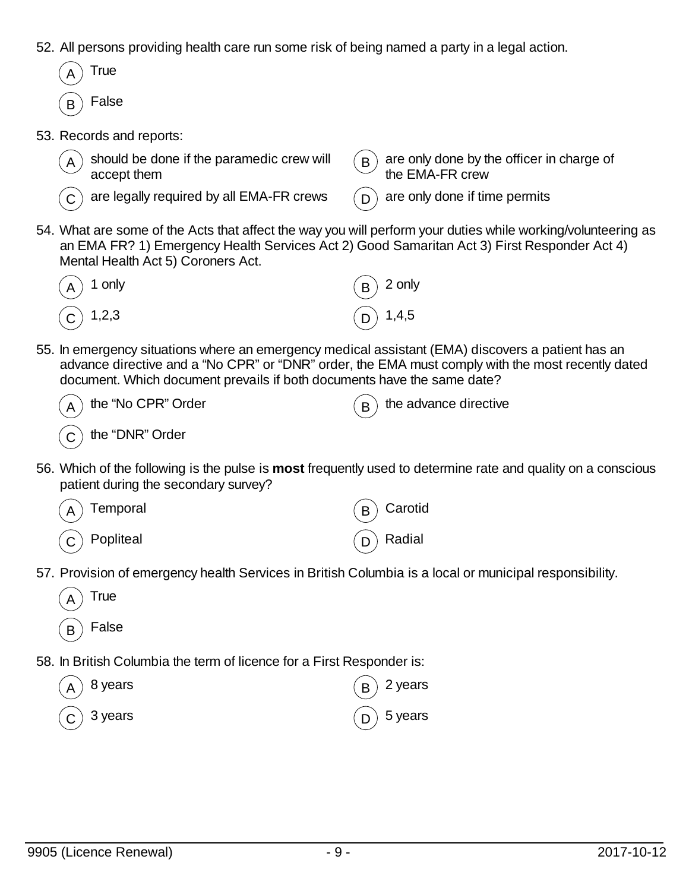- 52. All persons providing health care run some risk of being named a party in a legal action.
- **True** False 53. Records and reports: should be done if the paramedic crew will accept them  $B$  are only done by the officer in charge of the EMA-FR crew are legally required by all EMA-FR crews  $\cap$  are only done if time permits 54. What are some of the Acts that affect the way you will perform your duties while working/volunteering as an EMA FR? 1) Emergency Health Services Act 2) Good Samaritan Act 3) First Responder Act 4) Mental Health Act 5) Coroners Act.  $\mathsf A$  ) 1 only the set of the set of  $\mathsf B$  2 only the set of  $\mathsf B$  2 only C  $)$  1,2,3  $(D)$  1,4,5 55. In emergency situations where an emergency medical assistant (EMA) discovers a patient has an advance directive and a "No CPR" or "DNR" order, the EMA must comply with the most recently dated document. Which document prevails if both documents have the same date? the "No CPR" Order  $(a, b)$  the advance directive  $(C)$  the "DNR" Order 56. Which of the following is the pulse is **most** frequently used to determine rate and quality on a conscious patient during the secondary survey? Temporal  $(B)$  Carotid  $\overline{C}$  Popliteal  $\overline{D}$  Radial 57. Provision of emergency health Services in British Columbia is a local or municipal responsibility. **True**  $_B$ ) False 58. In British Columbia the term of licence for a First Responder is:
	- $\mathsf A$   $\big)$  8 years  $\big(\mathsf B\big)$  2 years  $\textsf{C}\, \big) \,$  3 years  $\textsf{C}\, \big) \,$  5 years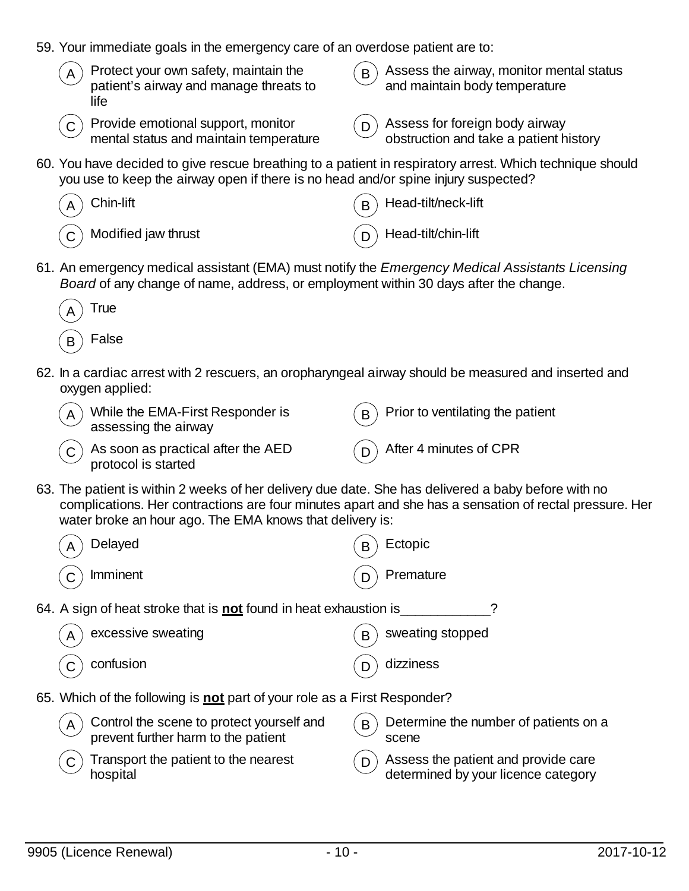| 59. Your immediate goals in the emergency care of an overdose patient are to: |                                                                                                                                                                                                |         |                                                                                                        |  |
|-------------------------------------------------------------------------------|------------------------------------------------------------------------------------------------------------------------------------------------------------------------------------------------|---------|--------------------------------------------------------------------------------------------------------|--|
| A                                                                             | Protect your own safety, maintain the<br>patient's airway and manage threats to<br>life                                                                                                        | B       | Assess the airway, monitor mental status<br>and maintain body temperature                              |  |
| ${\bf C}$                                                                     | Provide emotional support, monitor<br>mental status and maintain temperature                                                                                                                   | D       | Assess for foreign body airway<br>obstruction and take a patient history                               |  |
|                                                                               | 60. You have decided to give rescue breathing to a patient in respiratory arrest. Which technique should<br>you use to keep the airway open if there is no head and/or spine injury suspected? |         |                                                                                                        |  |
|                                                                               | Chin-lift                                                                                                                                                                                      | B       | Head-tilt/neck-lift                                                                                    |  |
|                                                                               | Modified jaw thrust                                                                                                                                                                            |         | Head-tilt/chin-lift                                                                                    |  |
|                                                                               | 61. An emergency medical assistant (EMA) must notify the Emergency Medical Assistants Licensing<br>Board of any change of name, address, or employment within 30 days after the change.        |         |                                                                                                        |  |
|                                                                               | True                                                                                                                                                                                           |         |                                                                                                        |  |
| B                                                                             | False                                                                                                                                                                                          |         |                                                                                                        |  |
|                                                                               | 62. In a cardiac arrest with 2 rescuers, an oropharyngeal airway should be measured and inserted and<br>oxygen applied:                                                                        |         |                                                                                                        |  |
| A                                                                             | While the EMA-First Responder is<br>assessing the airway                                                                                                                                       | B       | Prior to ventilating the patient                                                                       |  |
| C                                                                             | As soon as practical after the AED<br>protocol is started                                                                                                                                      |         | After 4 minutes of CPR                                                                                 |  |
|                                                                               | 63. The patient is within 2 weeks of her delivery due date. She has delivered a baby before with no<br>water broke an hour ago. The EMA knows that delivery is:                                |         | complications. Her contractions are four minutes apart and she has a sensation of rectal pressure. Her |  |
| $\sf A$                                                                       | Delayed                                                                                                                                                                                        | $\sf B$ | Ectopic                                                                                                |  |
| C                                                                             | Imminent                                                                                                                                                                                       | D       | Premature                                                                                              |  |
|                                                                               | 64. A sign of heat stroke that is <b>not</b> found in heat exhaustion is                                                                                                                       |         |                                                                                                        |  |
| A                                                                             | excessive sweating                                                                                                                                                                             | B       | sweating stopped                                                                                       |  |
|                                                                               | confusion                                                                                                                                                                                      | D       | dizziness                                                                                              |  |
|                                                                               | 65. Which of the following is not part of your role as a First Responder?                                                                                                                      |         |                                                                                                        |  |
| A                                                                             | Control the scene to protect yourself and<br>prevent further harm to the patient                                                                                                               | B       | Determine the number of patients on a<br>scene                                                         |  |
| C                                                                             | Transport the patient to the nearest<br>hospital                                                                                                                                               | D       | Assess the patient and provide care<br>determined by your licence category                             |  |
|                                                                               |                                                                                                                                                                                                |         |                                                                                                        |  |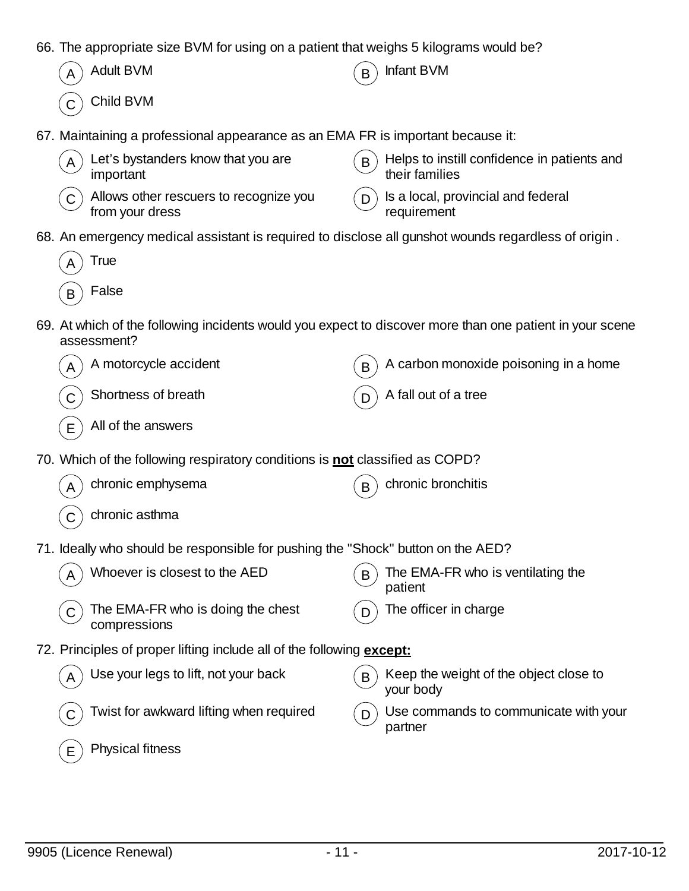66. The appropriate size BVM for using on a patient that weighs 5 kilograms would be?

|             | 00. The appropriate size D vivi for using on a patient that weighs o Kilograms would be !                               |   |                                                               |
|-------------|-------------------------------------------------------------------------------------------------------------------------|---|---------------------------------------------------------------|
| A           | <b>Adult BVM</b>                                                                                                        | B | Infant BVM                                                    |
|             | Child BVM                                                                                                               |   |                                                               |
|             | 67. Maintaining a professional appearance as an EMA FR is important because it:                                         |   |                                                               |
| Α           | Let's bystanders know that you are<br>important                                                                         | B | Helps to instill confidence in patients and<br>their families |
| C           | Allows other rescuers to recognize you<br>from your dress                                                               | D | Is a local, provincial and federal<br>requirement             |
|             | 68. An emergency medical assistant is required to disclose all gunshot wounds regardless of origin.                     |   |                                                               |
| Α           | <b>True</b>                                                                                                             |   |                                                               |
| B           | False                                                                                                                   |   |                                                               |
|             | 69. At which of the following incidents would you expect to discover more than one patient in your scene<br>assessment? |   |                                                               |
|             | A motorcycle accident                                                                                                   | B | A carbon monoxide poisoning in a home                         |
|             | Shortness of breath                                                                                                     | D | A fall out of a tree                                          |
| $\mathsf E$ | All of the answers                                                                                                      |   |                                                               |
|             | 70. Which of the following respiratory conditions is not classified as COPD?                                            |   |                                                               |
| A           | chronic emphysema                                                                                                       | B | chronic bronchitis                                            |
|             | chronic asthma                                                                                                          |   |                                                               |
|             | 71. Ideally who should be responsible for pushing the "Shock" button on the AED?                                        |   |                                                               |
|             | Whoever is closest to the AED                                                                                           | B | The EMA-FR who is ventilating the<br>patient                  |
| С           | The EMA-FR who is doing the chest<br>compressions                                                                       | D | The officer in charge                                         |
|             | 72. Principles of proper lifting include all of the following except:                                                   |   |                                                               |
|             | Use your legs to lift, not your back                                                                                    | B | Keep the weight of the object close to<br>your body           |
|             | Twist for awkward lifting when required                                                                                 | D | Use commands to communicate with your<br>partner              |
| Е           | Physical fitness                                                                                                        |   |                                                               |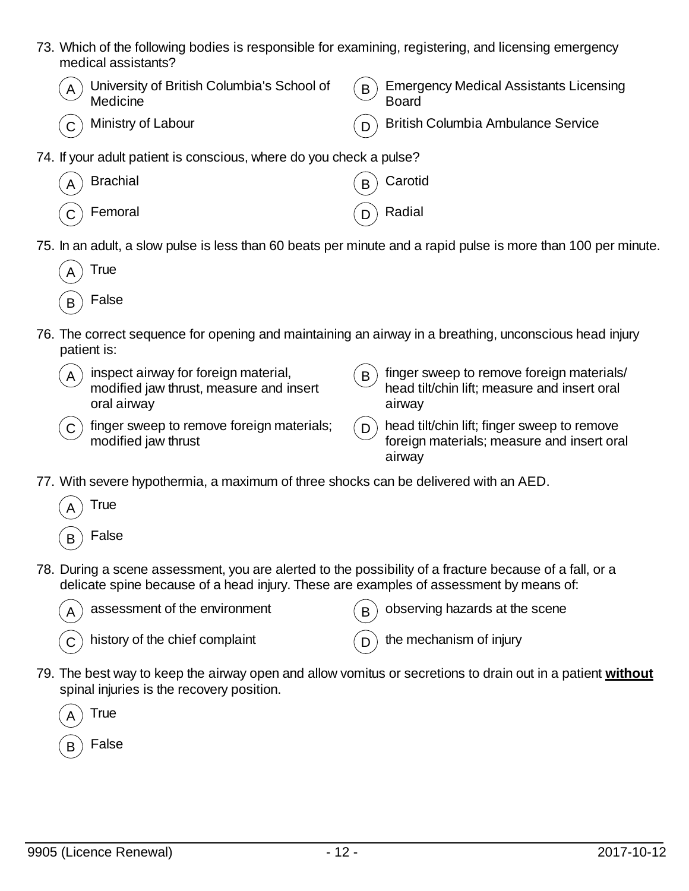- 73. Which of the following bodies is responsible for examining, registering, and licensing emergency medical assistants?
	- $_A$ ) University of British Columbia's School of **Medicine**
	-

 $B$  Emergency Medical Assistants Licensing **Board** 

- 
- Ministry of Labour  $(D)$  British Columbia Ambulance Service
- 74. If your adult patient is conscious, where do you check a pulse?
	- $\mathsf A$   $\big)$  Brachial  $\qquad \qquad \big(\,\mathsf B\,\big)$  Carotid
		- $\begin{pmatrix} \mathsf{C} \end{pmatrix}$  Femoral  $\begin{pmatrix} \mathsf{D} \end{pmatrix}$  Radial
- 75. In an adult, a slow pulse is less than 60 beats per minute and a rapid pulse is more than 100 per minute.

| A | True  |
|---|-------|
| в | False |

- 76. The correct sequence for opening and maintaining an airway in a breathing, unconscious head injury patient is:
	- $(A)$  inspect airway for foreign material, modified jaw thrust, measure and insert oral airway
- $\mathbf{B}$ ) finger sweep to remove foreign materials/ head tilt/chin lift; measure and insert oral airway
- $C$  finger sweep to remove foreign materials; modified jaw thrust
- $\left(\,\mathsf{p}\,\right)$  head tilt/chin lift; finger sweep to remove foreign materials; measure and insert oral airway
- 77. With severe hypothermia, a maximum of three shocks can be delivered with an AED.
	- **True**
	- **False**
- 78. During a scene assessment, you are alerted to the possibility of a fracture because of a fall, or a delicate spine because of a head injury. These are examples of assessment by means of:



assessment of the environment  $\overline{B}$  observing hazards at the scene

 $\sigma(\mathbf{C})$  history of the chief complaint  $\sigma(\mathbf{D})$  the mechanism of injury

79. The best way to keep the airway open and allow vomitus or secretions to drain out in a patient **without** spinal injuries is the recovery position.



**False**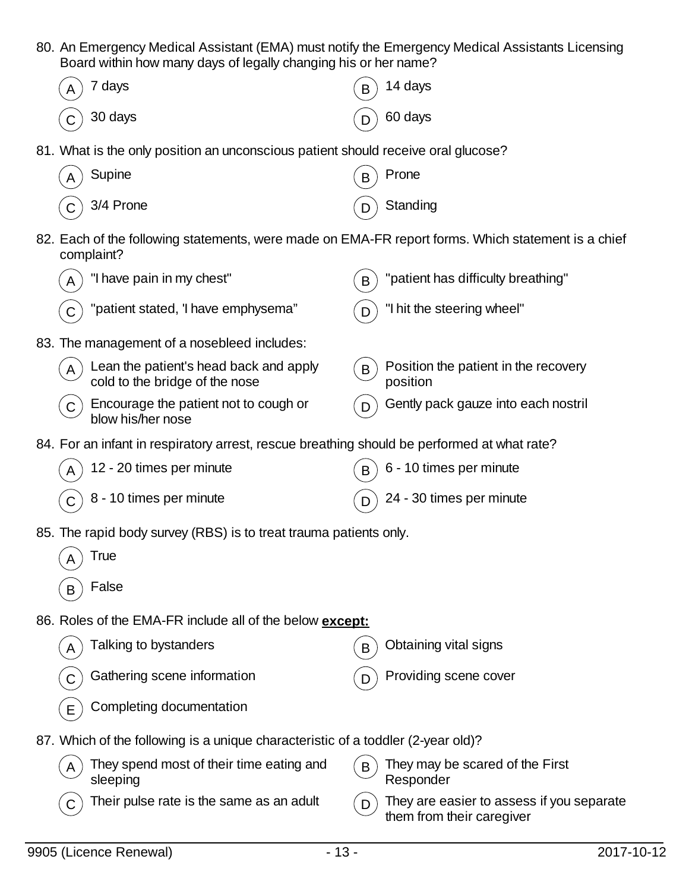80. An Emergency Medical Assistant (EMA) must notify the Emergency Medical Assistants Licensing Board within how many days of legally changing his or her name?

|   | Doard Within How Hildity days of logally changing this of Hof Hamos                                              |   |                                                                        |
|---|------------------------------------------------------------------------------------------------------------------|---|------------------------------------------------------------------------|
|   | 7 days                                                                                                           |   | 14 days                                                                |
|   | 30 days                                                                                                          |   | 60 days                                                                |
|   | 81. What is the only position an unconscious patient should receive oral glucose?                                |   |                                                                        |
|   | Supine                                                                                                           |   | Prone                                                                  |
|   | 3/4 Prone                                                                                                        |   | Standing                                                               |
|   | 82. Each of the following statements, were made on EMA-FR report forms. Which statement is a chief<br>complaint? |   |                                                                        |
|   | "I have pain in my chest"                                                                                        | B | "patient has difficulty breathing"                                     |
|   | "patient stated, 'I have emphysema"                                                                              |   | "I hit the steering wheel"                                             |
|   | 83. The management of a nosebleed includes:                                                                      |   |                                                                        |
|   | Lean the patient's head back and apply<br>cold to the bridge of the nose                                         | B | Position the patient in the recovery<br>position                       |
| С | Encourage the patient not to cough or<br>blow his/her nose                                                       |   | Gently pack gauze into each nostril                                    |
|   | 84. For an infant in respiratory arrest, rescue breathing should be performed at what rate?                      |   |                                                                        |
| A | 12 - 20 times per minute                                                                                         |   | 6 - 10 times per minute                                                |
| С | 8 - 10 times per minute                                                                                          |   | 24 - 30 times per minute                                               |
|   | 85. The rapid body survey (RBS) is to treat trauma patients only.                                                |   |                                                                        |
| A | True                                                                                                             |   |                                                                        |
| B | False                                                                                                            |   |                                                                        |
|   | 86. Roles of the EMA-FR include all of the below except:                                                         |   |                                                                        |
| Α | Talking to bystanders                                                                                            | B | Obtaining vital signs                                                  |
|   | Gathering scene information                                                                                      |   | Providing scene cover                                                  |
| Ε | Completing documentation                                                                                         |   |                                                                        |
|   | 87. Which of the following is a unique characteristic of a toddler (2-year old)?                                 |   |                                                                        |
|   | They spend most of their time eating and<br>sleeping                                                             | B | They may be scared of the First<br>Responder                           |
|   | Their pulse rate is the same as an adult                                                                         | D | They are easier to assess if you separate<br>them from their caregiver |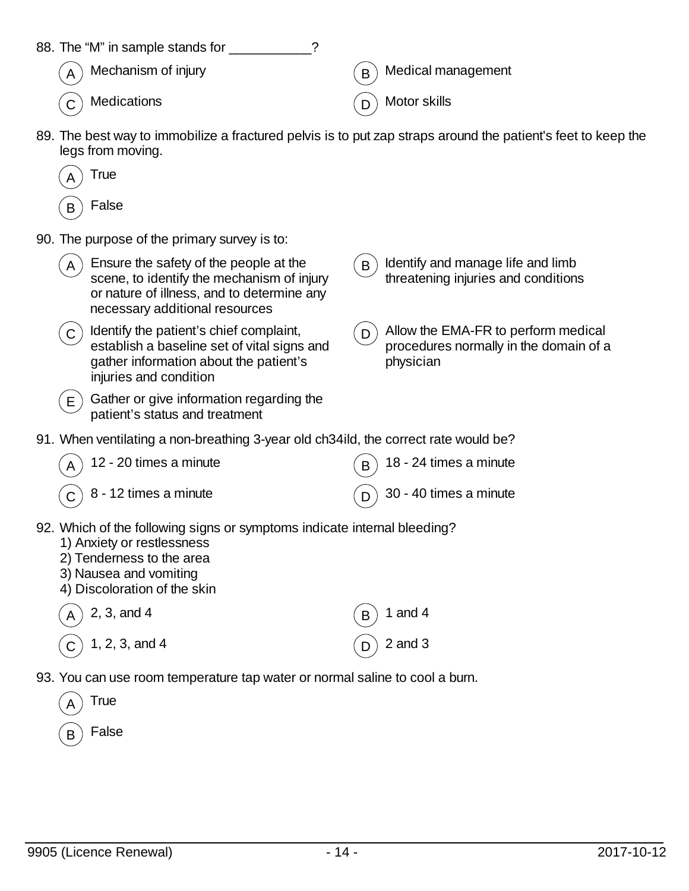| 88. The "M" in sample stands for                                                                                                                                                              |                                                                                                 |  |  |  |
|-----------------------------------------------------------------------------------------------------------------------------------------------------------------------------------------------|-------------------------------------------------------------------------------------------------|--|--|--|
| Mechanism of injury                                                                                                                                                                           | Medical management<br>B                                                                         |  |  |  |
| Medications                                                                                                                                                                                   | Motor skills                                                                                    |  |  |  |
| 89. The best way to immobilize a fractured pelvis is to put zap straps around the patient's feet to keep the<br>legs from moving.                                                             |                                                                                                 |  |  |  |
| True                                                                                                                                                                                          |                                                                                                 |  |  |  |
| False<br>B                                                                                                                                                                                    |                                                                                                 |  |  |  |
| 90. The purpose of the primary survey is to:                                                                                                                                                  |                                                                                                 |  |  |  |
| Ensure the safety of the people at the<br>A<br>scene, to identify the mechanism of injury<br>or nature of illness, and to determine any<br>necessary additional resources                     | Identify and manage life and limb<br>B<br>threatening injuries and conditions                   |  |  |  |
| Identify the patient's chief complaint,<br>$\mathsf C$<br>establish a baseline set of vital signs and<br>gather information about the patient's<br>injuries and condition                     | Allow the EMA-FR to perform medical<br>D<br>procedures normally in the domain of a<br>physician |  |  |  |
| Gather or give information regarding the<br>E.<br>patient's status and treatment                                                                                                              |                                                                                                 |  |  |  |
| 91. When ventilating a non-breathing 3-year old ch34ild, the correct rate would be?                                                                                                           |                                                                                                 |  |  |  |
| 12 - 20 times a minute                                                                                                                                                                        | 18 - 24 times a minute                                                                          |  |  |  |
| 8 - 12 times a minute                                                                                                                                                                         | 30 - 40 times a minute                                                                          |  |  |  |
| 92. Which of the following signs or symptoms indicate internal bleeding?<br>1) Anxiety or restlessness<br>2) Tenderness to the area<br>3) Nausea and vomiting<br>4) Discoloration of the skin |                                                                                                 |  |  |  |
| 2, 3, and 4                                                                                                                                                                                   | 1 and $4$<br>B                                                                                  |  |  |  |
| 1, 2, 3, and 4                                                                                                                                                                                | $2$ and $3$                                                                                     |  |  |  |
| 93. You can use room temperature tap water or normal saline to cool a burn.                                                                                                                   |                                                                                                 |  |  |  |
| <b>True</b><br>Α                                                                                                                                                                              |                                                                                                 |  |  |  |
| False<br>B                                                                                                                                                                                    |                                                                                                 |  |  |  |